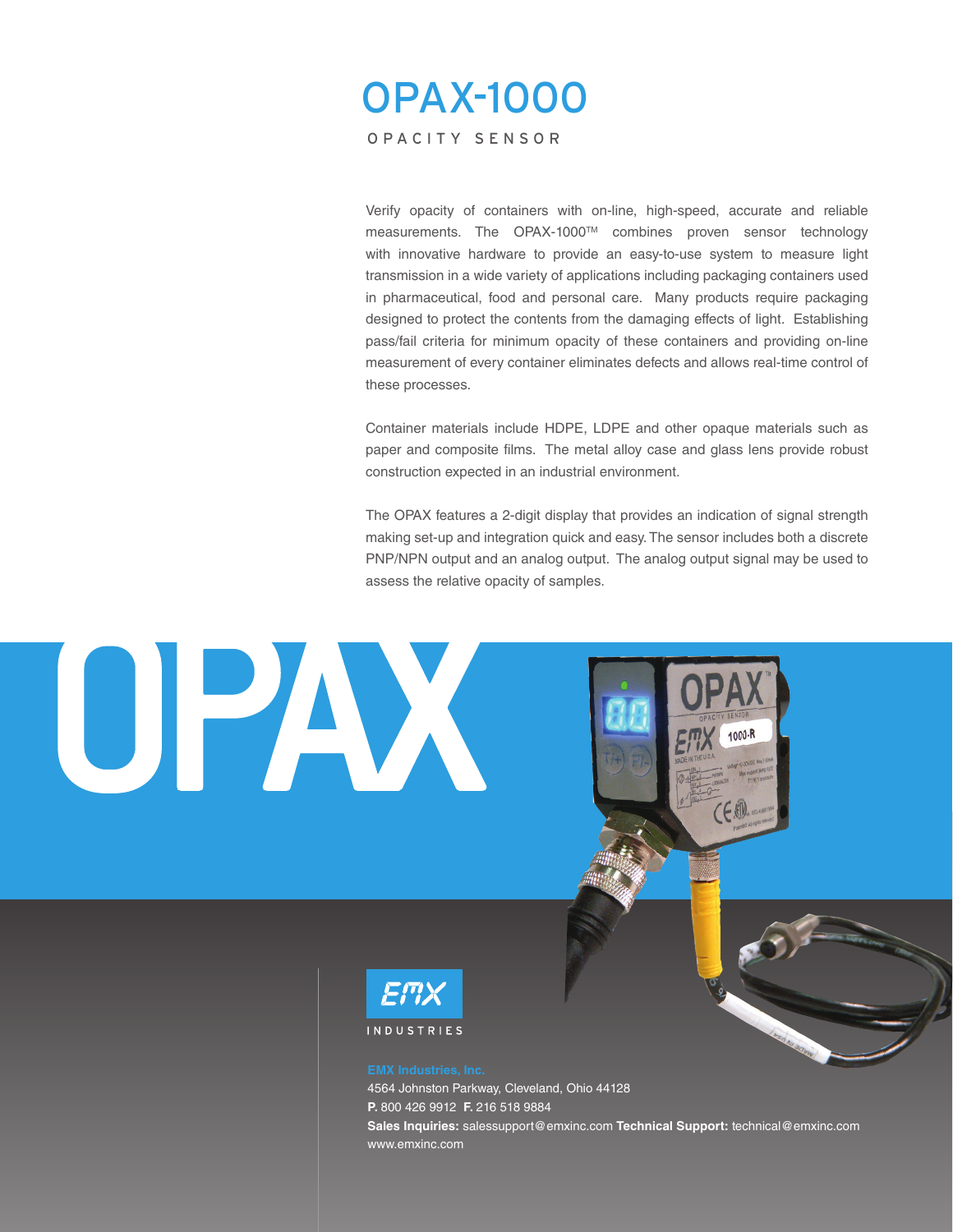# OPAX-1000 OPACITY SENSOR

Verify opacity of containers with on-line, high-speed, accurate and reliable measurements. The OPAX-1000TM combines proven sensor technology with innovative hardware to provide an easy-to-use system to measure light transmission in a wide variety of applications including packaging containers used in pharmaceutical, food and personal care. Many products require packaging designed to protect the contents from the damaging effects of light. Establishing pass/fail criteria for minimum opacity of these containers and providing on-line measurement of every container eliminates defects and allows real-time control of these processes.

Container materials include HDPE, LDPE and other opaque materials such as paper and composite films. The metal alloy case and glass lens provide robust construction expected in an industrial environment.

The OPAX features a 2-digit display that provides an indication of signal strength making set-up and integration quick and easy. The sensor includes both a discrete PNP/NPN output and an analog output. The analog output signal may be used to assess the relative opacity of samples.

1000-R



OPAX

4564 Johnston Parkway, Cleveland, Ohio 44128 **P.** 800 426 9912 **F.** 216 518 9884 **Sales Inquiries:** salessupport@emxinc.com **Technical Support:** technical@emxinc.com www.emxinc.com